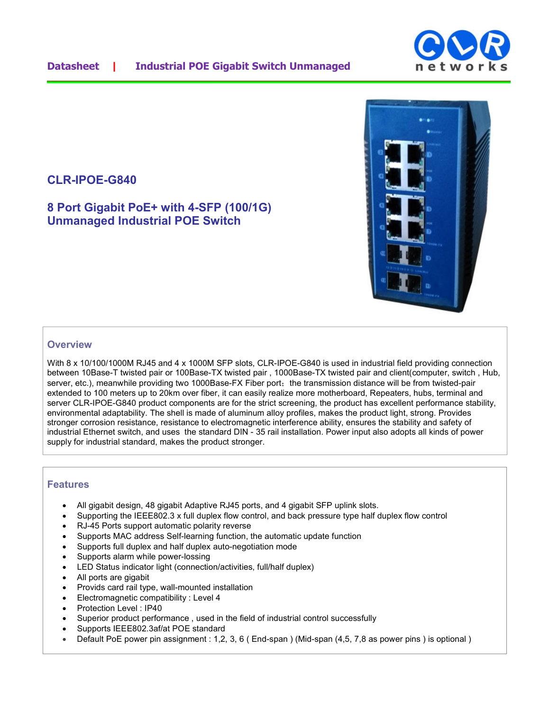

**8 Port Gigabit PoE+ with 4-SFP (100/1G) Unmanaged Industrial POE Switch** 



## **Overview**

With 8 x 10/100/1000M RJ45 and 4 x 1000M SFP slots, CLR-IPOE-G840 is used in industrial field providing connection between 10Base-T twisted pair or 100Base-TX twisted pair , 1000Base-TX twisted pair and client(computer, switch , Hub, server, etc.), meanwhile providing two 1000Base-FX Fiber port; the transmission distance will be from twisted-pair extended to 100 meters up to 20km over fiber, it can easily realize more motherboard, Repeaters, hubs, terminal and server CLR-IPOE-G840 product components are for the strict screening, the product has excellent performance stability, environmental adaptability. The shell is made of aluminum alloy profiles, makes the product light, strong. Provides stronger corrosion resistance, resistance to electromagnetic interference ability, ensures the stability and safety of industrial Ethernet switch, and uses the standard DIN - 35 rail installation. Power input also adopts all kinds of power supply for industrial standard, makes the product stronger.

## **Features**

- All gigabit design, 48 gigabit Adaptive RJ45 ports, and 4 gigabit SFP uplink slots.
- Supporting the IEEE802.3 x full duplex flow control, and back pressure type half duplex flow control
- RJ-45 Ports support automatic polarity reverse
- Supports MAC address Self-learning function, the automatic update function
- Supports full duplex and half duplex auto-negotiation mode
- Supports alarm while power-lossing
- LED Status indicator light (connection/activities, full/half duplex)
- All ports are gigabit
- Provids card rail type, wall-mounted installation
- Electromagnetic compatibility : Level 4
- Protection Level : IP40
- Superior product performance , used in the field of industrial control successfully
- Supports IEEE802.3af/at POE standard
- Default PoE power pin assignment : 1,2, 3, 6 ( End-span ) (Mid-span (4,5, 7,8 as power pins ) is optional )

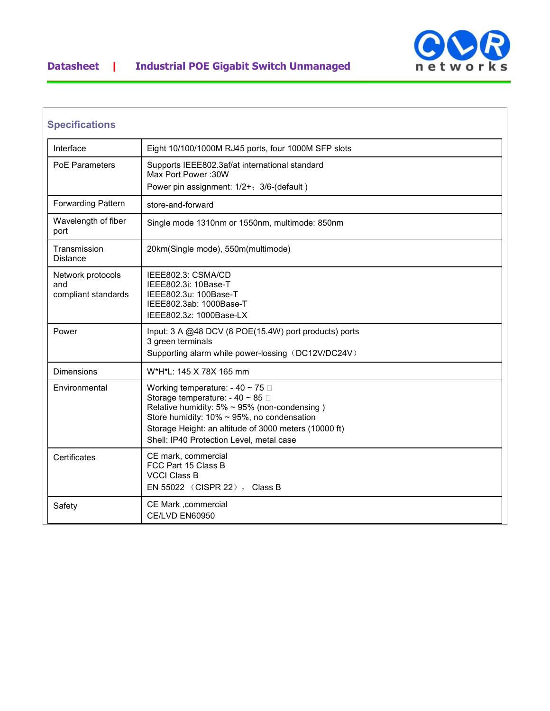



| <b>Specifications</b>                           |                                                                                                                                                                                                                                                                                                  |
|-------------------------------------------------|--------------------------------------------------------------------------------------------------------------------------------------------------------------------------------------------------------------------------------------------------------------------------------------------------|
| Interface                                       | Eight 10/100/1000M RJ45 ports, four 1000M SFP slots                                                                                                                                                                                                                                              |
| <b>PoE Parameters</b>                           | Supports IEEE802.3af/at international standard<br>Max Port Power: 30W<br>Power pin assignment: 1/2+; 3/6-(default)                                                                                                                                                                               |
| <b>Forwarding Pattern</b>                       | store-and-forward                                                                                                                                                                                                                                                                                |
| Wavelength of fiber<br>port                     | Single mode 1310nm or 1550nm, multimode: 850nm                                                                                                                                                                                                                                                   |
| Transmission<br>Distance                        | 20km(Single mode), 550m(multimode)                                                                                                                                                                                                                                                               |
| Network protocols<br>and<br>compliant standards | IEEE802.3: CSMA/CD<br>IEEE802.3i: 10Base-T<br>IEEE802.3u: 100Base-T<br>IEEE802.3ab: 1000Base-T<br>IEEE802.3z: 1000Base-LX                                                                                                                                                                        |
| Power                                           | Input: 3 A @48 DCV (8 POE(15.4W) port products) ports<br>3 green terminals<br>Supporting alarm while power-lossing (DC12V/DC24V)                                                                                                                                                                 |
| Dimensions                                      | W*H*L: 145 X 78X 165 mm                                                                                                                                                                                                                                                                          |
| Environmental                                   | Working temperature: - 40 ~ 75 $\Box$<br>Storage temperature: - 40 ~ 85 $\Box$<br>Relative humidity: $5\% \sim 95\%$ (non-condensing)<br>Store humidity: $10\% \sim 95\%$ , no condensation<br>Storage Height: an altitude of 3000 meters (10000 ft)<br>Shell: IP40 Protection Level, metal case |
| Certificates                                    | CE mark, commercial<br>FCC Part 15 Class B<br><b>VCCI Class B</b><br>EN 55022 (CISPR 22), Class B                                                                                                                                                                                                |
| Safety                                          | CE Mark , commercial<br>CE/LVD EN60950                                                                                                                                                                                                                                                           |